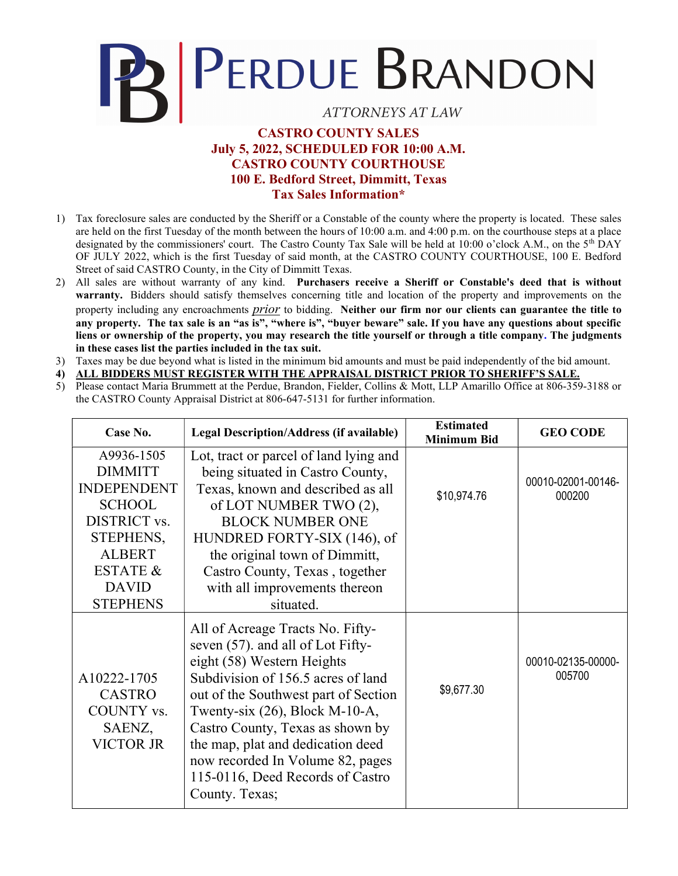## PRIPERDUE BRANDON

## **ATTORNEYS AT LAW**

## CASTRO COUNTY SALES July 5, 2022, SCHEDULED FOR 10:00 A.M. CASTRO COUNTY COURTHOUSE 100 E. Bedford Street, Dimmitt, Texas Tax Sales Information\*

- 1) Tax foreclosure sales are conducted by the Sheriff or a Constable of the county where the property is located. These sales are held on the first Tuesday of the month between the hours of 10:00 a.m. and 4:00 p.m. on the courthouse steps at a place designated by the commissioners' court. The Castro County Tax Sale will be held at 10:00 o'clock A.M., on the 5<sup>th</sup> DAY OF JULY 2022, which is the first Tuesday of said month, at the CASTRO COUNTY COURTHOUSE, 100 E. Bedford Street of said CASTRO County, in the City of Dimmitt Texas.
- 2) All sales are without warranty of any kind. Purchasers receive a Sheriff or Constable's deed that is without warranty. Bidders should satisfy themselves concerning title and location of the property and improvements on the property including any encroachments prior to bidding. Neither our firm nor our clients can guarantee the title to any property. The tax sale is an "as is", "where is", "buyer beware" sale. If you have any questions about specific liens or ownership of the property, you may research the title yourself or through a title company. The judgments in these cases list the parties included in the tax suit.
- 3) Taxes may be due beyond what is listed in the minimum bid amounts and must be paid independently of the bid amount.
- 4) ALL BIDDERS MUST REGISTER WITH THE APPRAISAL DISTRICT PRIOR TO SHERIFF'S SALE.
- 5) Please contact Maria Brummett at the Perdue, Brandon, Fielder, Collins & Mott, LLP Amarillo Office at 806-359-3188 or the CASTRO County Appraisal District at 806-647-5131 for further information.

| Case No.                                                                                                                                                                    | <b>Legal Description/Address (if available)</b>                                                                                                                                                                                                                                                                                                                                           | <b>Estimated</b><br><b>Minimum Bid</b> | <b>GEO CODE</b>              |
|-----------------------------------------------------------------------------------------------------------------------------------------------------------------------------|-------------------------------------------------------------------------------------------------------------------------------------------------------------------------------------------------------------------------------------------------------------------------------------------------------------------------------------------------------------------------------------------|----------------------------------------|------------------------------|
| A9936-1505<br><b>DIMMITT</b><br><b>INDEPENDENT</b><br><b>SCHOOL</b><br>DISTRICT vs.<br>STEPHENS,<br><b>ALBERT</b><br><b>ESTATE &amp;</b><br><b>DAVID</b><br><b>STEPHENS</b> | Lot, tract or parcel of land lying and<br>being situated in Castro County,<br>Texas, known and described as all<br>of LOT NUMBER TWO (2),<br><b>BLOCK NUMBER ONE</b><br>HUNDRED FORTY-SIX (146), of<br>the original town of Dimmitt,<br>Castro County, Texas, together<br>with all improvements thereon<br>situated.                                                                      | \$10,974.76                            | 00010-02001-00146-<br>000200 |
| A10222-1705<br><b>CASTRO</b><br>COUNTY vs.<br>SAENZ,<br>VICTOR JR                                                                                                           | All of Acreage Tracts No. Fifty-<br>seven (57). and all of Lot Fifty-<br>eight (58) Western Heights<br>Subdivision of 156.5 acres of land<br>out of the Southwest part of Section<br>Twenty-six $(26)$ , Block M-10-A,<br>Castro County, Texas as shown by<br>the map, plat and dedication deed<br>now recorded In Volume 82, pages<br>115-0116, Deed Records of Castro<br>County. Texas; | \$9,677.30                             | 00010-02135-00000-<br>005700 |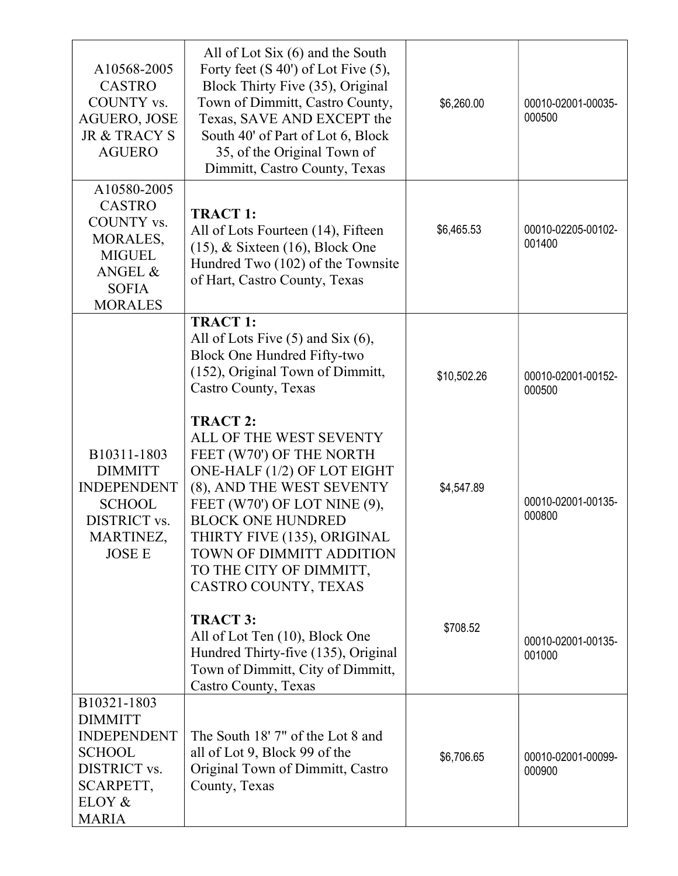| A10568-2005<br><b>CASTRO</b><br>COUNTY vs.<br><b>AGUERO, JOSE</b><br><b>JR &amp; TRACY S</b><br><b>AGUERO</b>               | All of Lot Six $(6)$ and the South<br>Forty feet $(S 40')$ of Lot Five $(5)$ ,<br>Block Thirty Five (35), Original<br>Town of Dimmitt, Castro County,<br>Texas, SAVE AND EXCEPT the<br>South 40' of Part of Lot 6, Block<br>35, of the Original Town of<br>Dimmitt, Castro County, Texas                     | \$6,260.00  | 00010-02001-00035-<br>000500 |
|-----------------------------------------------------------------------------------------------------------------------------|--------------------------------------------------------------------------------------------------------------------------------------------------------------------------------------------------------------------------------------------------------------------------------------------------------------|-------------|------------------------------|
| A10580-2005<br><b>CASTRO</b><br>COUNTY vs.<br>MORALES,<br><b>MIGUEL</b><br>ANGEL &<br><b>SOFIA</b><br><b>MORALES</b>        | <b>TRACT 1:</b><br>All of Lots Fourteen (14), Fifteen<br>$(15)$ , & Sixteen $(16)$ , Block One<br>Hundred Two (102) of the Townsite<br>of Hart, Castro County, Texas                                                                                                                                         | \$6,465.53  | 00010-02205-00102-<br>001400 |
|                                                                                                                             | <b>TRACT 1:</b><br>All of Lots Five $(5)$ and Six $(6)$ ,<br>Block One Hundred Fifty-two<br>(152), Original Town of Dimmitt,<br>Castro County, Texas                                                                                                                                                         | \$10,502.26 | 00010-02001-00152-<br>000500 |
| B10311-1803<br><b>DIMMITT</b><br><b>INDEPENDENT</b><br><b>SCHOOL</b><br>DISTRICT vs.<br>MARTINEZ,<br><b>JOSE E</b>          | <b>TRACT 2:</b><br>ALL OF THE WEST SEVENTY<br>FEET (W70') OF THE NORTH<br>ONE-HALF (1/2) OF LOT EIGHT<br>(8), AND THE WEST SEVENTY<br>FEET (W70') OF LOT NINE (9),<br><b>BLOCK ONE HUNDRED</b><br>THIRTY FIVE (135), ORIGINAL<br>TOWN OF DIMMITT ADDITION<br>TO THE CITY OF DIMMITT,<br>CASTRO COUNTY, TEXAS | \$4,547.89  | 00010-02001-00135-<br>000800 |
|                                                                                                                             | <b>TRACT 3:</b><br>All of Lot Ten (10), Block One<br>Hundred Thirty-five (135), Original<br>Town of Dimmitt, City of Dimmitt,<br>Castro County, Texas                                                                                                                                                        | \$708.52    | 00010-02001-00135-<br>001000 |
| B10321-1803<br><b>DIMMITT</b><br><b>INDEPENDENT</b><br><b>SCHOOL</b><br>DISTRICT vs.<br>SCARPETT,<br>ELOY &<br><b>MARIA</b> | The South 18' 7" of the Lot 8 and<br>all of Lot 9, Block 99 of the<br>Original Town of Dimmitt, Castro<br>County, Texas                                                                                                                                                                                      | \$6,706.65  | 00010-02001-00099-<br>000900 |